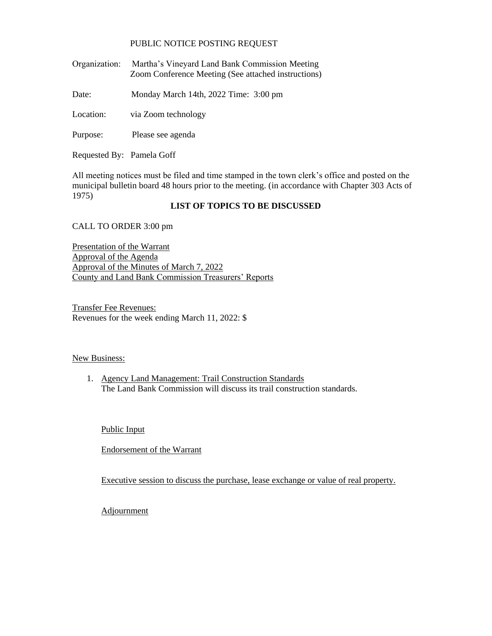## PUBLIC NOTICE POSTING REQUEST

Organization: Martha's Vineyard Land Bank Commission Meeting Zoom Conference Meeting (See attached instructions)

Date: Monday March 14th, 2022 Time: 3:00 pm

Location: via Zoom technology

Purpose: Please see agenda

Requested By: Pamela Goff

All meeting notices must be filed and time stamped in the town clerk's office and posted on the municipal bulletin board 48 hours prior to the meeting. (in accordance with Chapter 303 Acts of 1975)

## **LIST OF TOPICS TO BE DISCUSSED**

CALL TO ORDER 3:00 pm

Presentation of the Warrant Approval of the Agenda Approval of the Minutes of March 7, 2022 County and Land Bank Commission Treasurers' Reports

Transfer Fee Revenues: Revenues for the week ending March 11, 2022: \$

## New Business:

1. Agency Land Management: Trail Construction Standards The Land Bank Commission will discuss its trail construction standards.

Public Input

Endorsement of the Warrant

Executive session to discuss the purchase, lease exchange or value of real property.

**Adjournment**